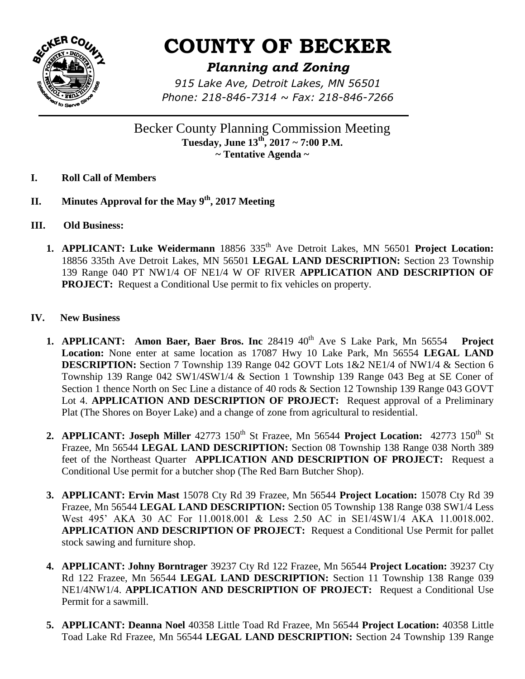

## **COUNTY OF BECKER**

## *Planning and Zoning*

*915 Lake Ave, Detroit Lakes, MN 56501 Phone: 218-846-7314 ~ Fax: 218-846-7266*

Becker County Planning Commission Meeting **Tuesday, June 13th, 2017 ~ 7:00 P.M. ~ Tentative Agenda ~**

- **I. Roll Call of Members**
- **II. Minutes Approval for the May 9th, 2017 Meeting**
- **III. Old Business:** 
	- **1. APPLICANT: Luke Weidermann** 18856 335<sup>th</sup> Ave Detroit Lakes, MN 56501 Project Location: 18856 335th Ave Detroit Lakes, MN 56501 **LEGAL LAND DESCRIPTION:** Section 23 Township 139 Range 040 PT NW1/4 OF NE1/4 W OF RIVER **APPLICATION AND DESCRIPTION OF PROJECT:** Request a Conditional Use permit to fix vehicles on property.
- **IV. New Business**
	- **1. APPLICANT: Amon Baer, Baer Bros. Inc** 28419 40<sup>th</sup> Ave S Lake Park, Mn 56554 **Project Location:** None enter at same location as 17087 Hwy 10 Lake Park, Mn 56554 **LEGAL LAND DESCRIPTION:** Section 7 Township 139 Range 042 GOVT Lots 1&2 NE1/4 of NW1/4 & Section 6 Township 139 Range 042 SW1/4SW1/4 & Section 1 Township 139 Range 043 Beg at SE Coner of Section 1 thence North on Sec Line a distance of 40 rods & Section 12 Township 139 Range 043 GOVT Lot 4. **APPLICATION AND DESCRIPTION OF PROJECT:** Request approval of a Preliminary Plat (The Shores on Boyer Lake) and a change of zone from agricultural to residential.
	- 2. **APPLICANT: Joseph Miller** 42773 150<sup>th</sup> St Frazee, Mn 56544 **Project Location:** 42773 150<sup>th</sup> St Frazee, Mn 56544 **LEGAL LAND DESCRIPTION:** Section 08 Township 138 Range 038 North 389 feet of the Northeast Quarter **APPLICATION AND DESCRIPTION OF PROJECT:** Request a Conditional Use permit for a butcher shop (The Red Barn Butcher Shop).
	- **3. APPLICANT: Ervin Mast** 15078 Cty Rd 39 Frazee, Mn 56544 **Project Location:** 15078 Cty Rd 39 Frazee, Mn 56544 **LEGAL LAND DESCRIPTION:** Section 05 Township 138 Range 038 SW1/4 Less West 495' AKA 30 AC For 11.0018.001 & Less 2.50 AC in SE1/4SW1/4 AKA 11.0018.002. **APPLICATION AND DESCRIPTION OF PROJECT:** Request a Conditional Use Permit for pallet stock sawing and furniture shop.
	- **4. APPLICANT: Johny Borntrager** 39237 Cty Rd 122 Frazee, Mn 56544 **Project Location:** 39237 Cty Rd 122 Frazee, Mn 56544 **LEGAL LAND DESCRIPTION:** Section 11 Township 138 Range 039 NE1/4NW1/4. **APPLICATION AND DESCRIPTION OF PROJECT:** Request a Conditional Use Permit for a sawmill.
	- **5. APPLICANT: Deanna Noel** 40358 Little Toad Rd Frazee, Mn 56544 **Project Location:** 40358 Little Toad Lake Rd Frazee, Mn 56544 **LEGAL LAND DESCRIPTION:** Section 24 Township 139 Range